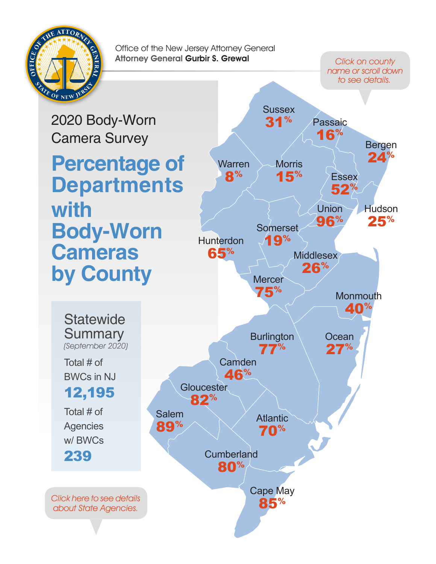<span id="page-0-0"></span>

Click on county name or scroll down to see details.

2020 Body-Worn Camera Survey **Percentage of Departments with Body-Worn Cameras by County**

[Hunterdon](#page-11-0) 65% **[Cumberland](#page-7-0)** 80% **[Atlantic](#page-2-0)** 70% **[Middlesex](#page-13-0)** 26% [Cape May](#page-6-0) 85% [Warren](#page-22-0) 8% [31%](#page-20-0) **[Somerset](#page-19-0)** 19% **Ocean** [27%](#page-16-0) **Morris** [15%](#page-15-0) **[Monmouth](#page-14-0)** 40% **[Mercer](#page-13-0)** 75% Union [96%](#page-21-0) Passaic [16%](#page-17-0) Salem [89%](#page-18-0) **[Burlington](#page-4-0)** 77% **[Gloucester](#page-9-0)** 82% **Camden** [46%](#page-5-0) **Essex** [52%](#page-8-0) Bergen [24%](#page-3-0) **[Hudson](#page-10-0)** 25%

**Sussex** 

**Statewide Summary** (September 2020)

Total # of BWCs in NJ

12,195

Total # of **Agencies** w/ BWCs 239

[Click here to see details](#page-1-0) about State Agencies.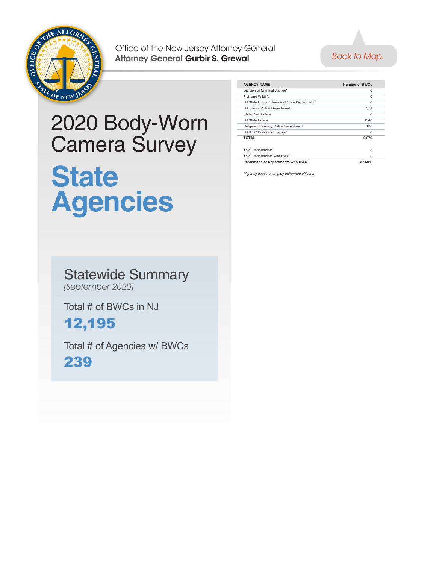<span id="page-1-0"></span>



#### 2020 Body-Worn Camera Survey **State Agencies**

| <b>AGENCY NAME</b>                          | Number of BWCs |  |
|---------------------------------------------|----------------|--|
| Division of Criminal Justice*               | $\Omega$       |  |
| Fish and Wildlife                           | $\Omega$       |  |
| NJ State Human Services Police Department   | $\Omega$       |  |
| NJ Transit Police Department                | 359            |  |
| State Park Police                           | $\Omega$       |  |
| NJ State Police                             | 1540           |  |
| <b>Rutgers University Police Department</b> | 180            |  |
| NJSPB / Division of Parole*                 | $\Omega$       |  |
| <b>TOTAL</b>                                | 2.079          |  |
|                                             |                |  |
| <b>Total Departments</b>                    | 8              |  |
| <b>Total Departments with BWC</b>           | 3              |  |
| Percentage of Departments with BWC          | 37.50%         |  |
|                                             |                |  |

\*Agency does not employ uniformed officers.

#### Statewide Summary (September 2020)

Total # of BWCs in NJ

#### 12,195

Total # of Agencies w/ BWCs 239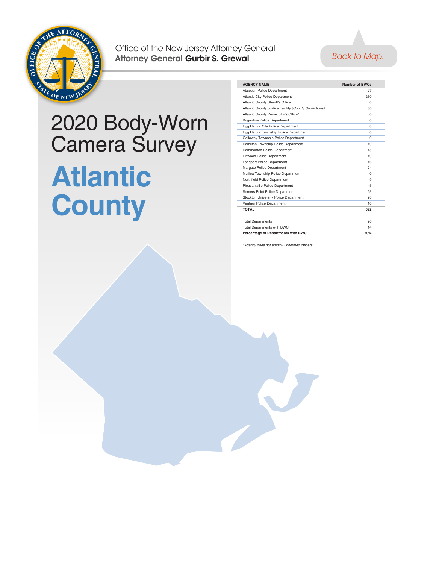<span id="page-2-0"></span>



# 2020 Body-Worn Camera Survey **Atlantic County**

| <b>AGENCY NAME</b>                                    | Number of BWCs |  |
|-------------------------------------------------------|----------------|--|
| Absecon Police Department                             | 27             |  |
| <b>Atlantic City Police Department</b>                | 260            |  |
| Atlantic County Sheriff's Office                      | <sup>0</sup>   |  |
| Atlantic County Justice Facility (County Corrections) | 60             |  |
| Atlantic County Prosecutor's Office*                  | $\Omega$       |  |
| <b>Brigantine Police Department</b>                   | $\Omega$       |  |
| Egg Harbor City Police Department                     | 8              |  |
| Egg Harbor Township Police Department                 | $\Omega$       |  |
| Galloway Township Police Department                   | $\Omega$       |  |
| Hamilton Township Police Department                   | 40             |  |
| Hammonton Police Department                           | 15             |  |
| <b>Linwood Police Department</b>                      | 19             |  |
| <b>Longport Police Department</b>                     | 16             |  |
| Margate Police Department                             | 24             |  |
| Mullica Township Police Department                    | <sup>0</sup>   |  |
| Northfield Police Department                          | 9              |  |
| Pleasantville Police Department                       | 45             |  |
| Somers Point Police Department                        | 25             |  |
| Stockton University Police Department                 | 28             |  |
| Ventnor Police Department                             | 16             |  |
| <b>TOTAL</b>                                          | 592            |  |
|                                                       |                |  |
| <b>Total Departments</b>                              | 20             |  |
| <b>Total Departments with BWC</b>                     | 14             |  |
| Percentage of Departments with BWC                    | 70%            |  |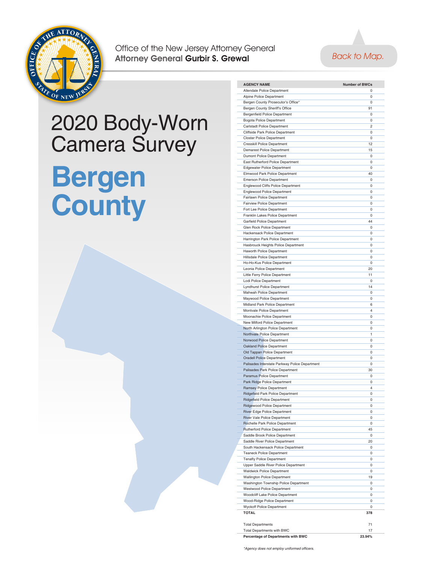<span id="page-3-0"></span>



**AGENCY NAME Number of BWCs** Allendale Police Department 0 Alpine Police Department 0 Bergen County Prosecutor's Office\* 0 **Bergen County Sheriff's Office 91 Property Sheriff's Office 91** Bergenfield Police Department 0 Bogota Police Department 0 Carlstadt Police Department 2 Cliffside Park Police Department 0 Closter Police Department 0 **Cresskill Police Department** 12 Demarest Police Department 15 Dumont Police Department 0

#### 2020 Body-Worn Camera Survey **Bergen**



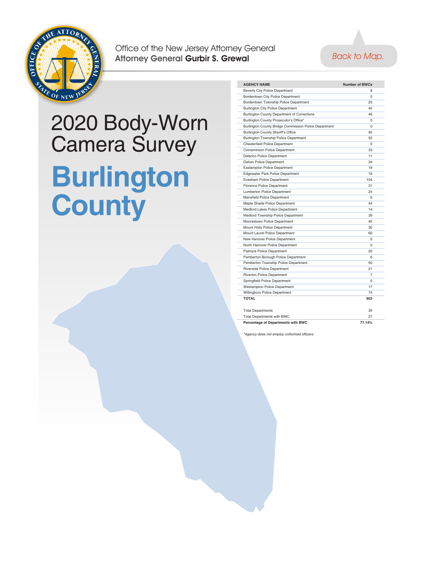<span id="page-4-0"></span>



## 2020 Body-Worn Camera Survey **Burlington County**

| <b>AGENCY NAME</b>                                    | <b>Number of BWCs</b> |
|-------------------------------------------------------|-----------------------|
| Beverly City Police Department                        | 8                     |
| Bordentown City Police Department                     | $\Omega$              |
| Bordentown Township Police Department                 | 25                    |
| <b>Burlington City Police Department</b>              | 40                    |
| Burlington County Department of Corrections           | 46                    |
| Burlington County Prosecutor's Office*                | $\Omega$              |
| Burlington County Bridge Commission Police Department | $\Omega$              |
| <b>Burlington County Sheriff's Office</b>             | 40                    |
| Burlington Township Police Department                 | 50                    |
| <b>Chesterfield Police Department</b>                 | $\Omega$              |
| Cinnaminson Police Department                         | 33                    |
| <b>Delanco Police Department</b>                      | 11                    |
| Delran Police Department                              | 34                    |
| <b>Eastampton Police Department</b>                   | 19                    |
| <b>Edgewater Park Police Department</b>               | 16                    |
| <b>Evesham Police Department</b>                      | 104                   |
| <b>Florence Police Department</b>                     | 31                    |
| Lumberton Police Department                           | 24                    |
| Mansfield Police Department                           | $\mathbf 0$           |
| Maple Shade Police Department                         | 44                    |
| Medford Lakes Police Department                       | 14                    |
| Medford Township Police Department                    | 39                    |
| Moorestown Police Department                          | 40                    |
| Mount Holly Police Department                         | 30                    |
| Mount Laurel Police Department                        | 60                    |
| New Hanover Police Department                         | $\Omega$              |
| North Hanover Police Department                       | $\Omega$              |
| Palmyra Police Department                             | 20                    |
| Pemberton Borough Police Department                   | 6                     |
| Pemberton Township Police Department                  | 50                    |
| Riverside Police Department                           | 21                    |
| <b>Riverton Police Department</b>                     | $\overline{7}$        |
| Springfield Police Department                         | $\Omega$              |
| <b>Westampton Police Department</b>                   | 17                    |
| Willingboro Police Department                         | 74                    |
| <b>TOTAL</b>                                          | 903                   |
| <b>Total Departments</b>                              | 35                    |
| <b>Total Departments with BWC</b>                     | 27                    |
| Percentage of Departments with BWC                    | 77.14%                |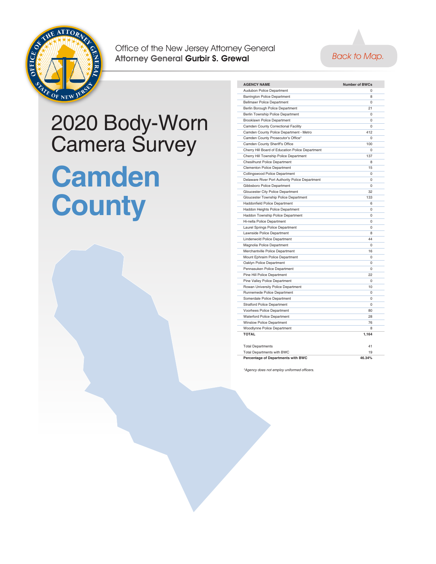<span id="page-5-0"></span>



#### 2020 Body-Worn Camera Survey **Camden County**

| <b>AGENCY NAME</b>                               | <b>Number of BWCs</b> |
|--------------------------------------------------|-----------------------|
| Audubon Police Department                        | $\Omega$              |
| <b>Barrington Police Department</b>              | 8                     |
| <b>Bellmawr Police Department</b>                | $\Omega$              |
| Berlin Borough Police Department                 | 21                    |
| Berlin Township Police Department                | $\Omega$              |
| <b>Brooklawn Police Department</b>               | $\Omega$              |
| Camden County Correctional Facility              | $\Omega$              |
| Camden County Police Department - Metro          | 412                   |
| Camden County Prosecutor's Office*               | 0                     |
| Camden County Sheriff's Office                   | 100                   |
| Cherry Hill Board of Education Police Department | 0                     |
| Cherry Hill Township Police Department           | 137                   |
| <b>Chesilhurst Police Department</b>             | 8                     |
| Clementon Police Department                      | 15                    |
| Collingswood Police Department                   | 0                     |
| Delaware River Port Authority Police Department  | 0                     |
| Gibbsboro Police Department                      | $\Omega$              |
| Gloucester City Police Department                | 32                    |
| Gloucester Township Police Department            | 133                   |
| <b>Haddonfield Police Department</b>             | 6                     |
| Haddon Heights Police Department                 | $\Omega$              |
| Haddon Township Police Department                | 0                     |
| Hi-nella Police Department                       | $\Omega$              |
| Laurel Springs Police Department                 | $\Omega$              |
| Lawnside Police Department                       | 8                     |
| Lindenwold Police Department                     | 44                    |
| Magnolia Police Department                       | 0                     |
| Merchantville Police Department                  | 16                    |
| Mount Ephraim Police Department                  | 0                     |
| Oaklyn Police Department                         | $\Omega$              |
| Pennasuken Police Department                     | $\Omega$              |
| Pine Hill Police Department                      | 22                    |
| Pine Valley Police Department                    | $\Omega$              |
| Rowan University Police Department               | 10                    |
| Runnemede Police Department                      | 0                     |
| Somerdale Police Department                      | 0                     |
| <b>Stratford Police Department</b>               | $\Omega$              |
| Voorhees Police Department                       | 80                    |
| <b>Waterford Police Department</b>               | 28                    |
| <b>Winslow Police Department</b>                 | 76                    |
| Woodlynne Police Department                      | 8                     |
| <b>TOTAL</b>                                     | 1,164                 |
| <b>Total Departments</b>                         | 41                    |
| Total Departments with BWC                       | 19                    |
| Percentage of Departments with BWC               | 46.34%                |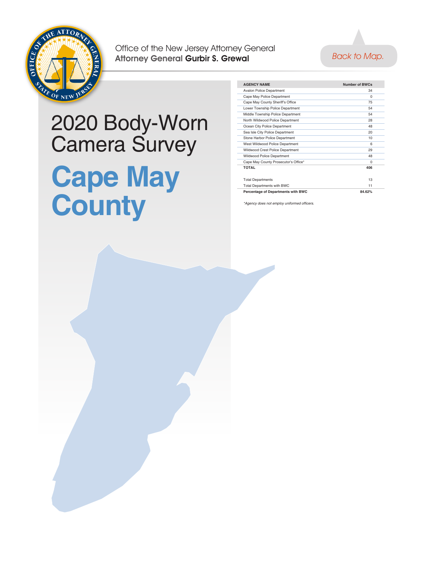<span id="page-6-0"></span>



#### 2020 Body-Worn Camera Survey **Cape May County**

| <b>AGENCY NAME</b>                   | Number of BWCs |  |
|--------------------------------------|----------------|--|
| <b>Avalon Police Department</b>      | 34             |  |
| Cape May Police Department           | $\Omega$       |  |
| Cape May County Sheriff's Office     | 75             |  |
| Lower Township Police Department     | 54             |  |
| Middle Township Police Department    | 54             |  |
| North Wildwood Police Department     | 28             |  |
| Ocean City Police Department         | 48             |  |
| Sea Isle City Police Department      | 20             |  |
| Stone Harbor Police Department       | 10             |  |
| West Wildwood Police Department      | 6              |  |
| Wildwood Crest Police Department     | 29             |  |
| Wildwood Police Department           | 48             |  |
| Cape May County Prosecutor's Office* | $\Omega$       |  |
| <b>TOTAL</b>                         | 406            |  |
|                                      |                |  |
| <b>Total Departments</b>             | 13             |  |
| <b>Total Departments with BWC</b>    | 11             |  |
| Percentage of Departments with BWC   | 84.62%         |  |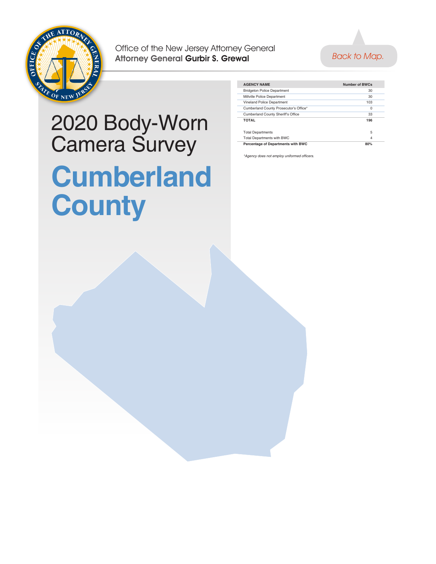<span id="page-7-0"></span>



#### 2020 Body-Worn Camera Survey **Cumberland County**

| Number of BWCs |  |
|----------------|--|
| 30             |  |
| 30             |  |
| 103            |  |
| $\Omega$       |  |
| 33             |  |
| 196            |  |
| 5              |  |
| 4              |  |
| 80%            |  |
|                |  |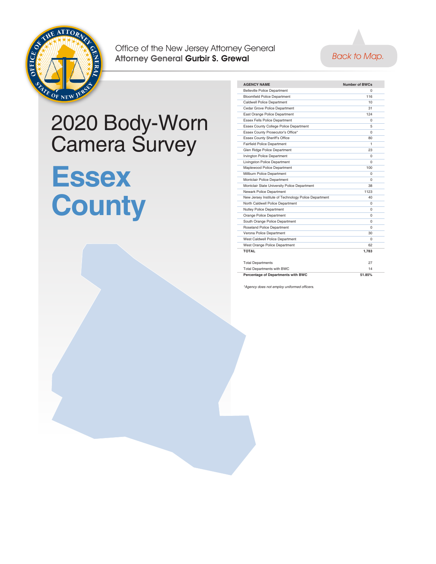<span id="page-8-0"></span>



#### 2020 Body-Worn Camera Survey

## **Essex County**

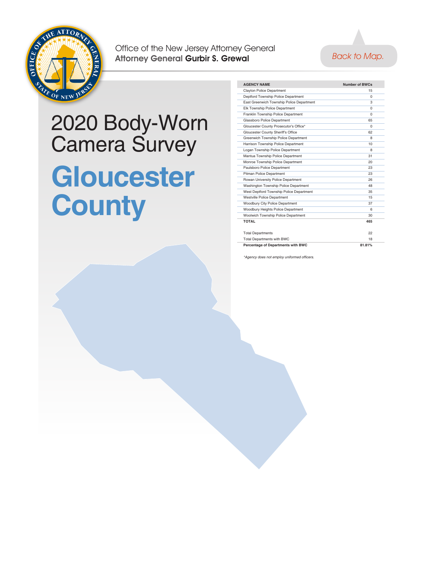<span id="page-9-0"></span>



#### 2020 Body-Worn Camera Survey **Gloucester County**

| <b>AGENCY NAME</b>                        | <b>Number of BWCs</b> |
|-------------------------------------------|-----------------------|
| Clayton Police Department                 | 15                    |
| Deptford Township Police Department       | $\Omega$              |
| East Greenwich Township Police Department | 3                     |
| Elk Township Police Department            | $\Omega$              |
| Franklin Township Police Department       | $\Omega$              |
| Glassboro Police Department               | 65                    |
| Gloucester County Prosecutor's Office*    | $\Omega$              |
| Gloucester County Sheriff's Office        | 62                    |
| Greenwich Township Police Department      | 8                     |
| Harrison Township Police Department       | 10                    |
| Logan Township Police Department          | 8                     |
| Mantua Township Police Department         | 31                    |
| Monroe Township Police Department         | 20                    |
| Paulsboro Police Department               | 23                    |
| Pitman Police Department                  | 23                    |
| Rowan University Police Department        | 26                    |
| Washington Township Police Department     | 48                    |
| West Deptford Township Police Department  | 35                    |
| <b>Westville Police Department</b>        | 15                    |
| Woodbury City Police Department           | 37                    |
| Woodbury Heights Police Department        | 6                     |
| Woolwich Township Police Department       | 30                    |
| ΤΩΤΑΙ                                     | 465                   |
|                                           |                       |
| <b>Total Departments</b>                  | 22                    |
| <b>Total Departments with BWC</b>         | 18                    |
| Percentage of Departments with BWC        | 81.81%                |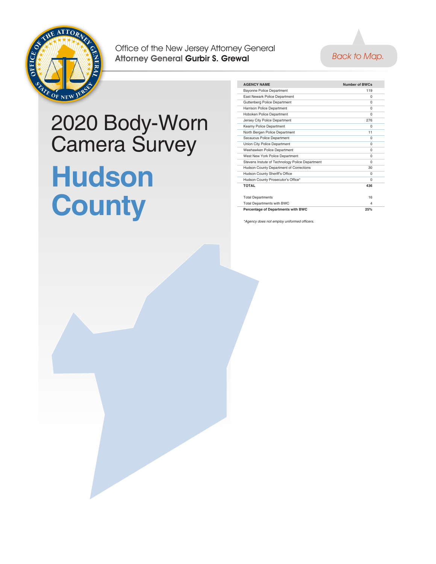<span id="page-10-0"></span>



#### 2020 Body-Worn Camera Survey **Hudson County**

| <b>AGENCY NAME</b>                              | <b>Number of BWCs</b> |  |
|-------------------------------------------------|-----------------------|--|
| <b>Bayonne Police Department</b>                | 119                   |  |
| East Newark Police Department                   | $\Omega$              |  |
| Guttenberg Police Department                    | $\Omega$              |  |
| Harrison Police Department                      | $\Omega$              |  |
| Hoboken Police Department                       | $\Omega$              |  |
| Jersey City Police Department                   | 276                   |  |
| Kearny Police Department                        | $\Omega$              |  |
| North Bergen Police Department                  | 11                    |  |
| Secaucus Police Department                      | $\Omega$              |  |
| Union City Police Department                    | $\Omega$              |  |
| Weehawken Police Department                     | $\Omega$              |  |
| West New York Police Department                 | $\Omega$              |  |
| Stevens Instute of Technology Police Department | $\Omega$              |  |
| Hudson County Department of Corrections         | 30                    |  |
| Hudson County Sheriff's Office                  | $\Omega$              |  |
| Hudson County Prosecutor's Office*              | $\Omega$              |  |
| <b>TOTAL</b>                                    | 436                   |  |
|                                                 |                       |  |
| <b>Total Departments</b>                        | 16                    |  |
| <b>Total Departments with BWC</b>               | $\Delta$              |  |
| Percentage of Departments with BWC              | 25%                   |  |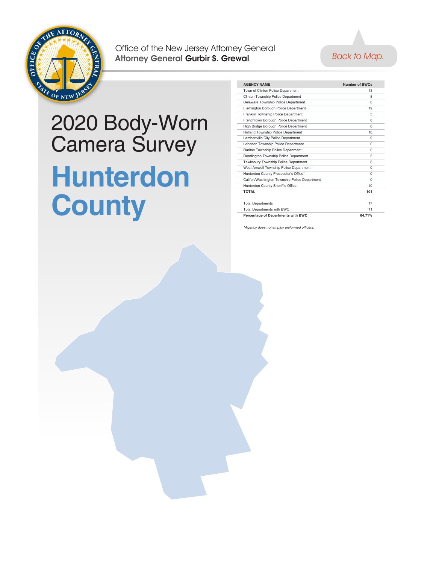<span id="page-11-0"></span>

#### [Back to Map.](#page-0-0)

#### 2020 Body-Worn Camera Survey **Hunterdon County**

| <b>AGENCY NAME</b>                            | Number of BWCs |  |
|-----------------------------------------------|----------------|--|
| Town of Clinton Police Department             | 13             |  |
| Clinton Township Police Department            | 8              |  |
| Delaware Township Police Department           | $\Omega$       |  |
| Flemington Borough Police Department          | 19             |  |
| Franklin Township Police Department           | 5              |  |
| Frenchtown Borough Police Department          | 8              |  |
| High Bridge Borough Police Department         | 6              |  |
| Holland Township Police Department            | 10             |  |
| Lambertville City Police Department           | 9              |  |
| Lebanon Township Police Department            | $\Omega$       |  |
| Raritan Township Police Department            | $\Omega$       |  |
| Readington Township Police Department         | 5              |  |
| Tewksbury Township Police Department          | 8              |  |
| West Amwell Township Police Department        | $\Omega$       |  |
| Hunterdon County Prosecutor's Office*         | $\Omega$       |  |
| Califon/Washington Township Police Department | $\Omega$       |  |
| Hunterdon County Sheriff's Office             | 10             |  |
| ΤΩΤΑΙ                                         | 101            |  |
|                                               |                |  |
| <b>Total Departments</b>                      | 17             |  |
| <b>Total Departments with BWC</b>             | 11             |  |
| Percentage of Departments with BWC            | 64.71%         |  |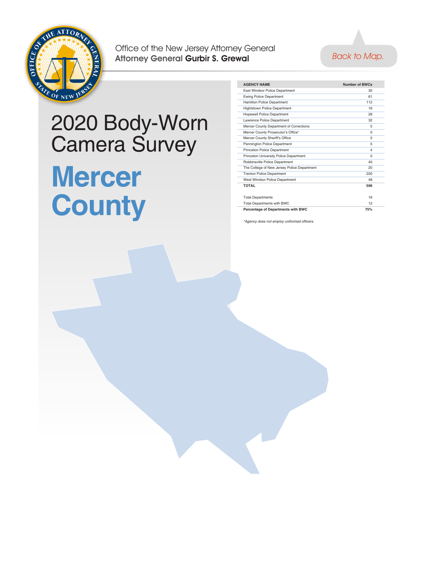



#### 2020 Body-Worn Camera Survey **Mercer County**

| <b>AGENCY NAME</b>                          | Number of BWCs          |  |
|---------------------------------------------|-------------------------|--|
| East Windsor Police Department              | 30                      |  |
| <b>Ewing Police Department</b>              | 61                      |  |
| <b>Hamilton Police Department</b>           | 112                     |  |
| <b>Hightstown Police Department</b>         | 16                      |  |
| <b>Hopewell Police Department</b>           | 28                      |  |
| Lawrence Police Department                  | 32                      |  |
| Mercer County Department of Corrections     | $\Omega$                |  |
| Mercer County Prosecutor's Office*          | $\Omega$                |  |
| Mercer County Sheriff's Office              | $\Omega$                |  |
| Pennington Police Department                | 5                       |  |
| <b>Princeton Police Department</b>          | $\overline{\mathbf{4}}$ |  |
| Princeton University Police Department      | $\Omega$                |  |
| Robbinsville Police Department              | 40                      |  |
| The College of New Jersey Police Department | 20                      |  |
| <b>Trenton Police Department</b>            | 200                     |  |
| West Windsor Police Department              | 48                      |  |
| ΤΩΤΑΙ                                       | 596                     |  |
| <b>Total Departments</b>                    | 16                      |  |
| <b>Total Departments with BWC</b>           | 12                      |  |
| Percentage of Departments with BWC          | 75%                     |  |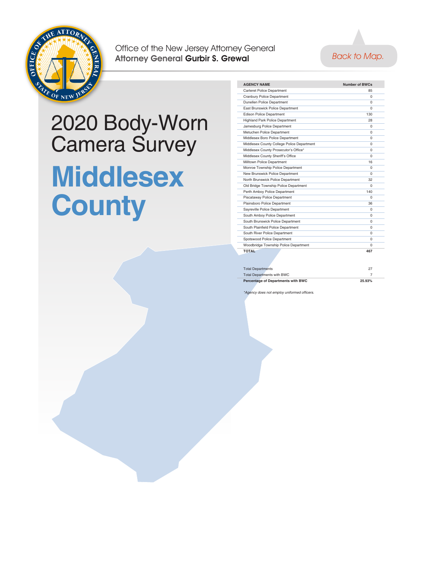<span id="page-13-0"></span>



## 2020 Body-Worn Camera Survey **Middlesex County**

| <b>AGENCY NAME</b>                         | Number of BWCs |  |
|--------------------------------------------|----------------|--|
| <b>Carteret Police Department</b>          | 85             |  |
| Cranbury Police Department                 | $\Omega$       |  |
| <b>Dunellen Police Department</b>          | 0              |  |
| East Brunswick Police Department           | O              |  |
| <b>Edison Police Department</b>            | 130            |  |
| <b>Highland Park Police Department</b>     | 28             |  |
| Jamesburg Police Department                | U              |  |
| Metuchen Police Department                 | $\Omega$       |  |
| Middlesex Boro Police Department           | U              |  |
| Middlesex County College Police Department | O              |  |
| Middlesex County Prosecutor's Office*      | 0              |  |
| Middlesex County Sheriff's Office          | O              |  |
| Milltown Police Department                 | 16             |  |
| Monroe Township Police Department          | O              |  |
| New Brunswick Police Department            | O              |  |
| North Brunswick Police Department          | 32             |  |
| Old Bridge Township Police Department      | U              |  |
| Perth Amboy Police Department              | 140            |  |
| Piscataway Police Department               | $\Omega$       |  |
| Plainsboro Police Department               | 36             |  |
| Sayreville Police Department               | $\Omega$       |  |
| South Amboy Police Department              | O              |  |
| South Brunswick Police Department          | 0              |  |
| South Plainfield Police Department         | O              |  |
| South River Police Department              | O              |  |
| Spotswood Police Department                | O              |  |
| Woodbridge Township Police Department      | $\Omega$       |  |
| ΤΩΤΔΙ                                      | 467            |  |
|                                            |                |  |

| <b>Total Departments</b>           | 27     |
|------------------------------------|--------|
| <b>Total Departments with BWC</b>  |        |
| Percentage of Departments with BWC | 25.93% |

does not employ uniformed officers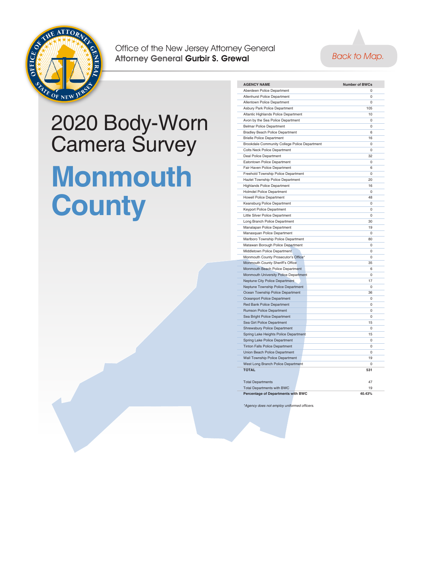<span id="page-14-0"></span>



#### 2020 Body-Worn Camera Survey **Monmouth County**

| <b>AGENCY NAME</b>                            | <b>Number of BWCs</b> |
|-----------------------------------------------|-----------------------|
| Aberdeen Police Department                    | $\Omega$              |
| Allenhurst Police Department                  | 0                     |
| Allentown Police Department                   | $\Omega$              |
| Asbury Park Police Department                 | 105                   |
| Altantic Highlands Police Department          | 10                    |
| Avon by the Sea Police Department             | 0                     |
| <b>Belmar Police Department</b>               | 0                     |
| <b>Bradley Beach Police Department</b>        | 6                     |
| <b>Brielle Police Department</b>              | 16                    |
| Brookdale Community College Police Department | $\Omega$              |
| <b>Colts Neck Police Department</b>           | 0                     |
| <b>Deal Police Department</b>                 | 32                    |
| Eatontown Police Department                   | 0                     |
| Fair Haven Police Department                  | 6                     |
| Freehold Township Police Department           | $\Omega$              |
| Hazlet Township Police Department             | 20                    |
| <b>Highlands Police Department</b>            | 16                    |
| <b>Holmdel Police Department</b>              | $\Omega$              |
|                                               | 48                    |
| <b>Howell Police Department</b>               | $\Omega$              |
| Keansburg Police Department                   | 0                     |
| Keyport Police Department                     |                       |
| Little Silver Police Department               | 0                     |
| Long Branch Police Department                 | 30                    |
| Manalapan Police Department                   | 19                    |
| Manasquan Police Department                   | 0                     |
| Marlboro Township Police Department           | 80                    |
| Matawan Borough Police Department             | 0                     |
| Middletown Police Department                  | $\Omega$              |
| Monmouth County Prosecutor's Office*          | 0                     |
| Monmouth County Sheriff's Office              | 35                    |
| Monmouth Beach Police Department              | 6                     |
| Monmouth University Police Department         | $\Omega$              |
| Neptune City Police Department                | 17                    |
| Neptune Township Police Department            | 0                     |
| Ocean Township Police Department              | 36                    |
| Oceanport Police Department                   | 0                     |
| Red Bank Police Department                    | $\Omega$              |
| <b>Rumson Police Department</b>               | $\Omega$              |
| Sea Bright Police Department                  | 0                     |
| Sea Girt Police Department                    | 15                    |
| <b>Shrewsbury Police Department</b>           | 0                     |
| Spring Lake Heights Police Department         | 15                    |
| Spring Lake Police Department                 | 0                     |
| <b>Tinton Falls Police Department</b>         | $\mathbf 0$           |
| Union Beach Police Department                 | 0                     |
| <b>Wall Township Police Department</b>        | 19                    |
| West Long Branch Police Department            | 0                     |
| <b>TOTAL</b>                                  | 531                   |
| <b>Total Departments</b>                      | 47                    |
| <b>Total Departments with BWC</b>             | 19                    |
| Percentage of Departments with BWC            | 40.43%                |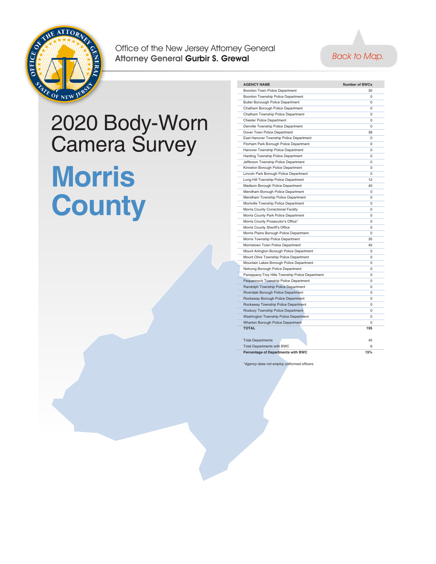<span id="page-15-0"></span>



# 2020 Body-Worn Camera Survey **Morris County**

| <b>AGENCY NAME</b>                               | <b>Number of BWCs</b> |
|--------------------------------------------------|-----------------------|
| Boonton Town Police Department                   | 30                    |
| Boonton Township Police Department               | $\Omega$              |
| Butler Borouogh Police Department                | $\Omega$              |
| Chatham Borough Police Department                | $\Omega$              |
| Chatham Township Police Department               | 0                     |
| <b>Chester Police Department</b>                 | $\mathbf 0$           |
| Denville Township Police Department              | $\Omega$              |
| Dover Town Police Department                     | 38                    |
| East Hanover Township Police Department          | $\Omega$              |
| Florham Park Borough Police Department           | 0                     |
| Hanover Township Police Department               | $\Omega$              |
| Harding Township Police Department               | $\mathbf 0$           |
| Jefferson Township Police Department             | $\Omega$              |
| Kinnelon Borough Police Department               | $\Omega$              |
| Lincoln Park Borough Police Department           | $\Omega$              |
| Long Hill Township Police Department             | 12                    |
| Madison Borough Police Department                | 40                    |
| Mendham Borough Police Department                | $\Omega$              |
| Mendham Township Police Department               | 0                     |
| Montville Township Police Department             | $\Omega$              |
| Morris County Correctional Facility              | 0                     |
| Morris County Park Police Department             | $\Omega$              |
| Morris County Prosecutor's Office*               | 0                     |
| Morris County Sheriff's Office                   | $\Omega$              |
| Morris Plains Borough Police Department          | $\Omega$              |
| Morris Township Police Department                | 35                    |
| Morristown Town Police Department                | 40                    |
| Mount Arlington Borough Police Department        | $\mathbf 0$           |
| Mount Olive Township Police Department           | $\Omega$              |
| Mountain Lakes Borough Police Department         | $\mathbf 0$           |
| Netcong Borough Police Department                | $\Omega$              |
| Parsippany-Troy Hills Township Police Department | $\Omega$              |
| Pequannock Township Police Department            | $\Omega$              |
| Randolph Township Police Department              | $\Omega$              |
| Riverdale Borough Police Department              | $\Omega$              |
| Rockaway Borough Police Department               | $\Omega$              |
| Rockaway Township Police Department              | $\Omega$              |
| Roxbury Township Police Department               | $\Omega$              |
| <b>Washington Township Police Department</b>     | $\Omega$              |
| Wharton Borough Police Department                | $\Omega$              |
| <b>TOTAL</b>                                     | 195                   |
|                                                  |                       |
| <b>Total Departments</b>                         | 40                    |
| <b>Total Departments with BWC</b>                | 6                     |
| Percentage of Departments with BWC               | 15%                   |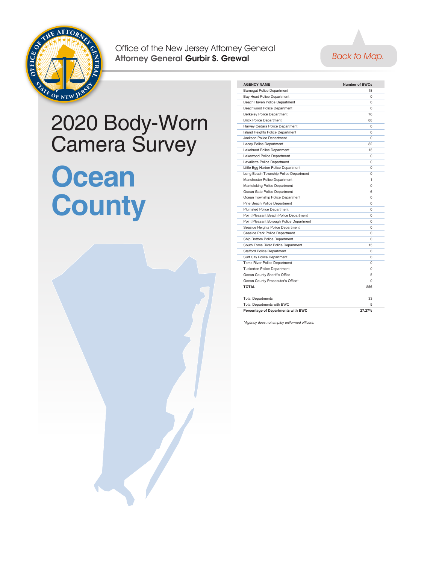<span id="page-16-0"></span>



#### 2020 Body-Worn Camera Survey **Ocean County**



| <b>AGENCY NAME</b>                       | <b>Number of BWCs</b> |  |
|------------------------------------------|-----------------------|--|
| <b>Barnegat Police Department</b>        | 18                    |  |
| Bay Head Police Department               | $\Omega$              |  |
| Beach Haven Police Department            | $\Omega$              |  |
| Beachwood Police Department              | $\Omega$              |  |
| <b>Berkeley Police Department</b>        | 76                    |  |
| <b>Brick Police Department</b>           | 88                    |  |
| Harvey Cedars Police Department          | $\Omega$              |  |
| <b>Island Heights Police Department</b>  | $\Omega$              |  |
| Jackson Police Department                | $\Omega$              |  |
| Lacey Police Department                  | 32                    |  |
| Lakehurst Police Department              | 15                    |  |
| Lakewood Police Department               | $\Omega$              |  |
| Lavallette Police Department             | $\Omega$              |  |
| Little Egg Harbor Police Department      | 0                     |  |
| Long Beach Township Police Department    | 0                     |  |
| Manchester Police Department             | 1                     |  |
| Mantoloking Police Department            | $\Omega$              |  |
| Ocean Gate Police Department             | 6                     |  |
| Ocean Township Police Department         | $\Omega$              |  |
| Pine Beach Police Department             | $\Omega$              |  |
| <b>Plumsted Police Department</b>        | $\Omega$              |  |
| Point Pleasant Beach Police Department   | $\Omega$              |  |
| Point Pleasant Borough Police Department | $\Omega$              |  |
| Seaside Heights Police Department        | $\Omega$              |  |
| Seaside Park Police Department           | $\Omega$              |  |
| Ship Bottom Police Department            | 0                     |  |
| South Toms River Police Department       | 15                    |  |
| <b>Stafford Police Department</b>        | $\Omega$              |  |
| Surf City Police Department              | $\Omega$              |  |
| <b>Toms River Police Department</b>      | $\Omega$              |  |
| <b>Tuckerton Police Department</b>       | $\Omega$              |  |
| Ocean County Sheriff's Office            | 5                     |  |
| Ocean County Prosecutor's Office*        | $\Omega$              |  |
| ΤΩΤΑΙ                                    | 256                   |  |
| <b>Total Departments</b>                 | 33                    |  |
| <b>Total Departments with BWC</b>        | q                     |  |
| Percentage of Departments with BWC       | 27.27%                |  |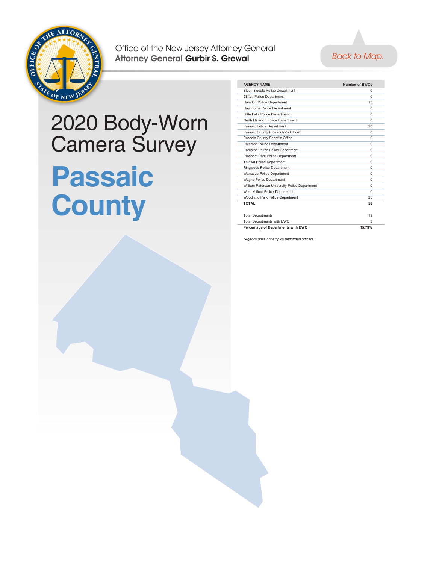<span id="page-17-0"></span>



#### 2020 Body-Worn Camera Survey **Passaic County**

| <b>AGENCY NAME</b>                            | <b>Number of BWCs</b> |  |
|-----------------------------------------------|-----------------------|--|
| <b>Bloomingdale Police Department</b>         | O                     |  |
| <b>Clifton Police Department</b>              | $\Omega$              |  |
| <b>Haledon Police Department</b>              | 13                    |  |
| Hawthorne Police Department                   | $\Omega$              |  |
| Little Falls Police Department                | $\Omega$              |  |
| North Haledon Police Department               | $\Omega$              |  |
| Passaic Police Department                     | 20                    |  |
| Passaic County Prosecutor's Office*           | $\Omega$              |  |
| Passaic County Sheriff's Office               | $\Omega$              |  |
| Paterson Police Department                    | $\Omega$              |  |
| Pompton Lakes Police Department               | $\Omega$              |  |
| Prospect Park Police Department               | $\Omega$              |  |
| <b>Totowa Police Department</b>               | $\Omega$              |  |
| Ringwood Police Department                    | $\Omega$              |  |
| Wanaque Police Department                     | O                     |  |
| <b>Wayne Police Department</b>                | $\Omega$              |  |
| William Paterson University Police Department | $\Omega$              |  |
| West Milford Police Department                | $\Omega$              |  |
| Woodland Park Police Department               | 25                    |  |
| <b>TOTAL</b>                                  | 58                    |  |
|                                               |                       |  |
| <b>Total Departments</b>                      | 19                    |  |
| <b>Total Departments with BWC</b>             | з                     |  |
| Percentage of Departments with BWC            | 15.79%                |  |
|                                               |                       |  |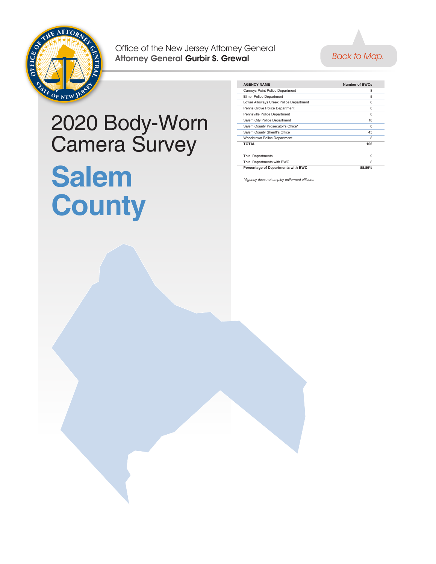<span id="page-18-0"></span>



#### 2020 Body-Worn Camera Survey **Salem County**

| <b>AGENCY NAME</b>                     | Number of BWCs |  |
|----------------------------------------|----------------|--|
| <b>Carneys Point Police Department</b> | 8              |  |
| <b>Elmer Police Department</b>         | 5              |  |
| Lower Alloways Creek Police Department | 6              |  |
| Penns Grove Police Department          | 8              |  |
| Pennsville Police Department           | 8              |  |
| Salem City Police Department           | 18             |  |
| Salem County Prosecutor's Office*      | $\Omega$       |  |
| Salem County Sheriff's Office          | 45             |  |
| <b>Woodstown Police Department</b>     | 8              |  |
| <b>TOTAL</b>                           | 106            |  |
|                                        |                |  |
| <b>Total Departments</b>               | 9              |  |
| <b>Total Departments with BWC</b>      | 8              |  |
| Percentage of Departments with BWC     | 88.89%         |  |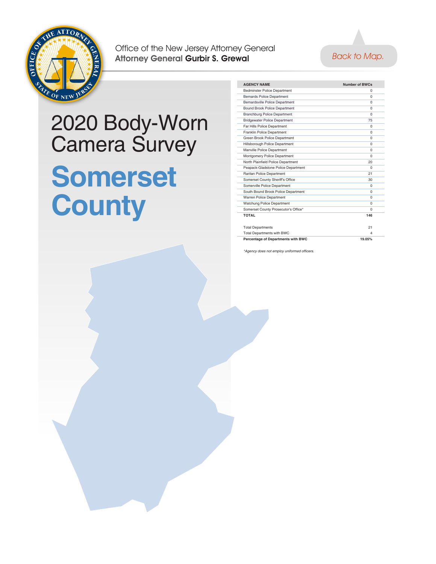<span id="page-19-0"></span>



#### 2020 Body-Worn Camera Survey **Somerset County**

| <b>AGENCY NAME</b>                   | Number of BWCs |  |
|--------------------------------------|----------------|--|
| <b>Bedminster Police Department</b>  | $\Omega$       |  |
| <b>Bernards Police Department</b>    | $\Omega$       |  |
| Bernardsville Police Department      | $\Omega$       |  |
| Bound Brook Police Department        | $\Omega$       |  |
| <b>Branchburg Police Department</b>  | $\Omega$       |  |
| <b>Bridgewater Police Department</b> | 75             |  |
| Far Hills Police Department          | $\Omega$       |  |
| Franklin Police Department           | $\Omega$       |  |
| Green Brook Police Department        | $\Omega$       |  |
| Hillsborough Police Department       | $\Omega$       |  |
| Manville Police Department           | $\Omega$       |  |
| Montgomery Police Department         | $\Omega$       |  |
| North Plainfield Police Department   | 20             |  |
| Peapack-Gladstone Police Department  | $\Omega$       |  |
| Raritan Police Department            | 21             |  |
| Somerset County Sheriff's Office     | 30             |  |
| Somerville Police Department         | $\Omega$       |  |
| South Bound Brook Police Department  | $\Omega$       |  |
| Warren Police Department             | $\Omega$       |  |
| <b>Watchung Police Department</b>    | $\Omega$       |  |
| Somerset County Prosecutor's Office* | $\Omega$       |  |
| ΤΩΤΑΙ                                | 146            |  |
|                                      |                |  |
| <b>Total Departments</b>             | 21             |  |
| Total Departments with BWC           | 4              |  |
| Percentage of Departments with BWC   | 19 05%         |  |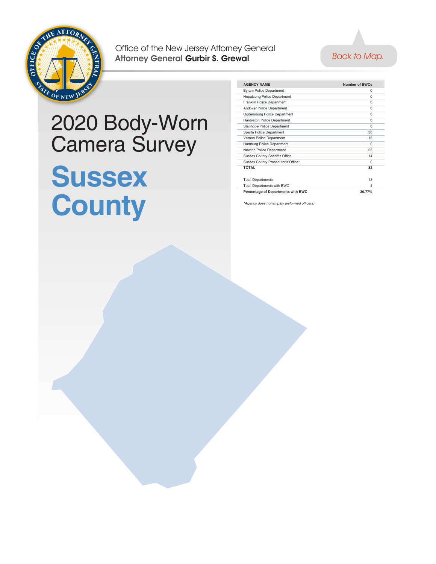<span id="page-20-0"></span>



#### 2020 Body-Worn Camera Survey **Sussex County**

| <b>AGENCY NAME</b>                    | <b>Number of BWCs</b> |  |
|---------------------------------------|-----------------------|--|
| <b>Byram Police Department</b>        | $\Omega$              |  |
| <b>Hopatcong Police Department</b>    | $\Omega$              |  |
| Franklin Police Department            | $\Omega$              |  |
| Andover Police Department             | $\Omega$              |  |
| Ogdensburg Police Department          | $\Omega$              |  |
| Hardyston Police Department           | $\Omega$              |  |
| Stanhope Police Department            | $\Omega$              |  |
| Sparta Police Department              | 30                    |  |
| Vernon Police Department              | 15                    |  |
| Hamburg Police Department             | $\Omega$              |  |
| Newton Police Department              | 23                    |  |
| <b>Sussex County Sheriff's Office</b> | 14                    |  |
| Sussex County Prosecutor's Office*    | $\Omega$              |  |
| <b>TOTAL</b>                          | 82                    |  |
|                                       |                       |  |
| <b>Total Departments</b>              | 13                    |  |
| <b>Total Departments with BWC</b>     | $\Delta$              |  |
| Percentage of Departments with BWC    | 30.77%                |  |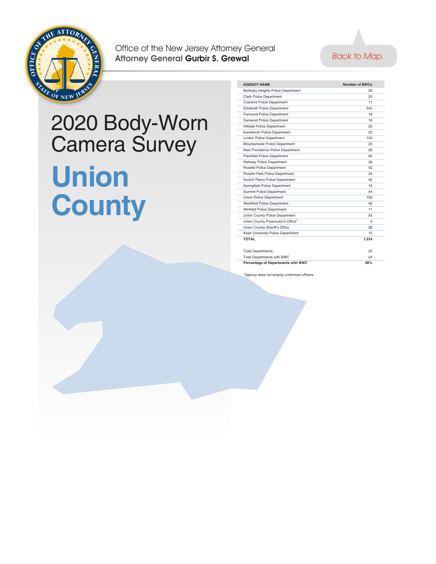<span id="page-21-0"></span>



# 2020 Body-Worn Camera Survey **Union County**

| <b>AGENCY NAME</b>                  | <b>Number of BWCs</b> |  |
|-------------------------------------|-----------------------|--|
| Berkeley Heights Police Department  | 29                    |  |
| <b>Clark Police Department</b>      | 20                    |  |
| <b>Cranford Police Department</b>   | 11                    |  |
| Elizabeth Police Department         | 342                   |  |
| Fanwood Police Department           | 18                    |  |
| Garwood Police Department           | 16                    |  |
| Hillside Police Department          | 25                    |  |
| Kenilworth Police Department        | 25                    |  |
| Linden Police Department            | 140                   |  |
| Mountainside Police Department      | 20                    |  |
| New Providence Police Department    | 26                    |  |
| <b>Plainfield Police Department</b> | 92                    |  |
| Rahway Police Department            | 36                    |  |
| Roselle Police Department           | 52                    |  |
| Roselle Park Police Department      | 34                    |  |
| Scotch Plains Police Department     | 42                    |  |
| Springfield Police Department       | 16                    |  |
| Summit Police Department            | 44                    |  |
| Union Police Department             | 100                   |  |
| <b>Westfield Police Department</b>  | 42                    |  |
| Winfield Police Department          | 11                    |  |
| Union County Police Department      | 55                    |  |
| Union County Prosecutor's Office*   | $\Omega$              |  |
| Union County Sheriff's Office       | 28                    |  |
| Kean University Police Department   | 10                    |  |
| <b>TOTAL</b>                        | 1.234                 |  |
|                                     |                       |  |
| <b>Total Departments</b>            | 25                    |  |
| Total Departments with BWC          | 24                    |  |
| Percentage of Departments with BWC  | 96%                   |  |